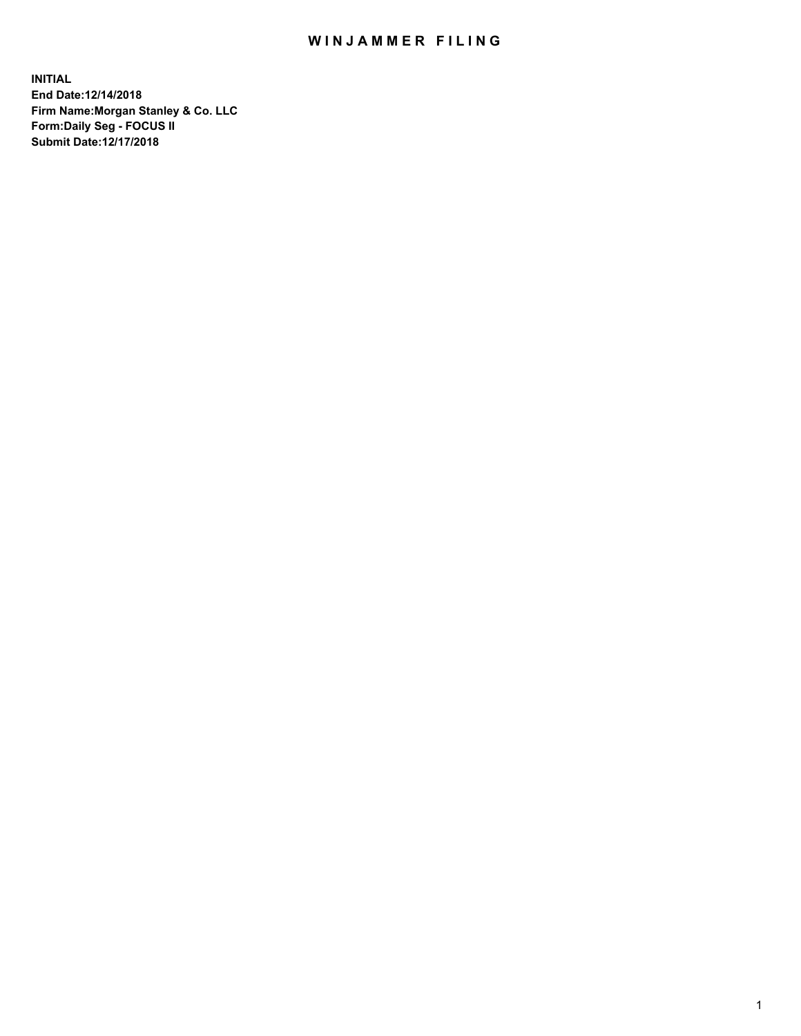## WIN JAMMER FILING

**INITIAL End Date:12/14/2018 Firm Name:Morgan Stanley & Co. LLC Form:Daily Seg - FOCUS II Submit Date:12/17/2018**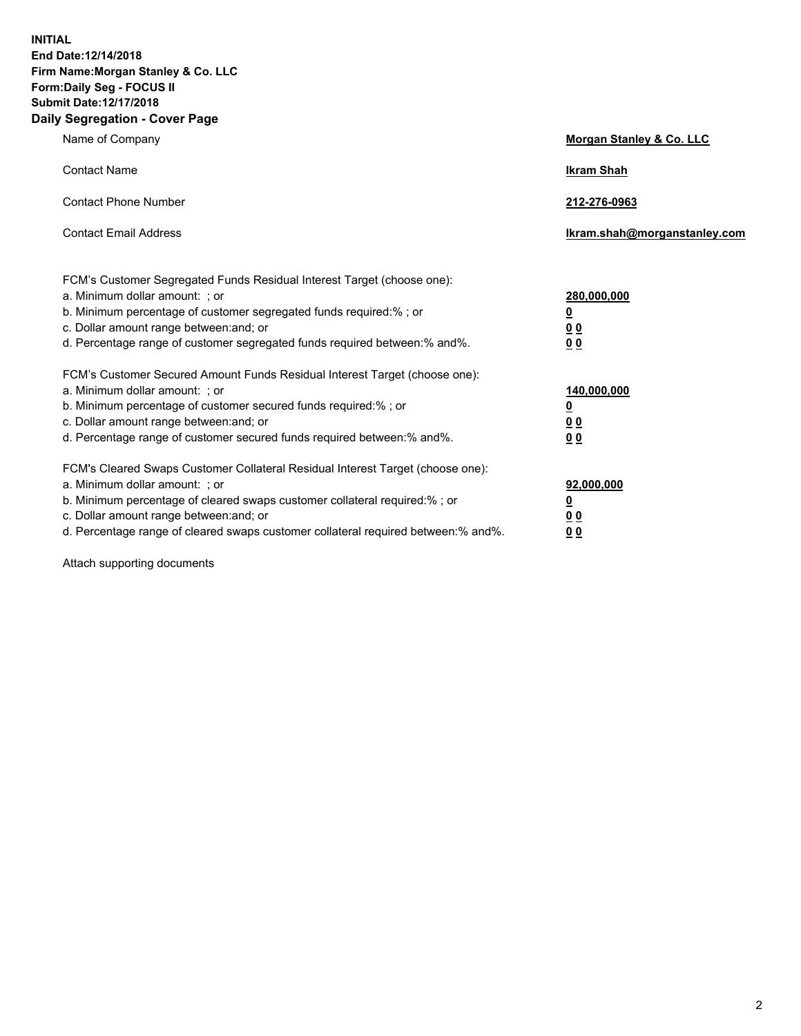**INITIAL End Date:12/14/2018 Firm Name:Morgan Stanley & Co. LLC Form:Daily Seg - FOCUS II Submit Date:12/17/2018 Daily Segregation - Cover Page**

| Name of Company                                                                                                                                                                                                                                                                                                                | Morgan Stanley & Co. LLC                               |
|--------------------------------------------------------------------------------------------------------------------------------------------------------------------------------------------------------------------------------------------------------------------------------------------------------------------------------|--------------------------------------------------------|
| <b>Contact Name</b>                                                                                                                                                                                                                                                                                                            | <b>Ikram Shah</b>                                      |
| <b>Contact Phone Number</b>                                                                                                                                                                                                                                                                                                    | 212-276-0963                                           |
| <b>Contact Email Address</b>                                                                                                                                                                                                                                                                                                   | Ikram.shah@morganstanley.com                           |
| FCM's Customer Segregated Funds Residual Interest Target (choose one):<br>a. Minimum dollar amount: ; or<br>b. Minimum percentage of customer segregated funds required:% ; or<br>c. Dollar amount range between: and; or<br>d. Percentage range of customer segregated funds required between:% and%.                         | 280,000,000<br><u>0</u><br>00<br>00                    |
| FCM's Customer Secured Amount Funds Residual Interest Target (choose one):<br>a. Minimum dollar amount: ; or<br>b. Minimum percentage of customer secured funds required:% ; or<br>c. Dollar amount range between: and; or<br>d. Percentage range of customer secured funds required between: % and %.                         | 140,000,000<br><u>0</u><br><u>00</u><br>0 <sub>0</sub> |
| FCM's Cleared Swaps Customer Collateral Residual Interest Target (choose one):<br>a. Minimum dollar amount: ; or<br>b. Minimum percentage of cleared swaps customer collateral required:% ; or<br>c. Dollar amount range between: and; or<br>d. Percentage range of cleared swaps customer collateral required between:% and%. | 92,000,000<br><u>0</u><br>0 Q<br>00                    |

Attach supporting documents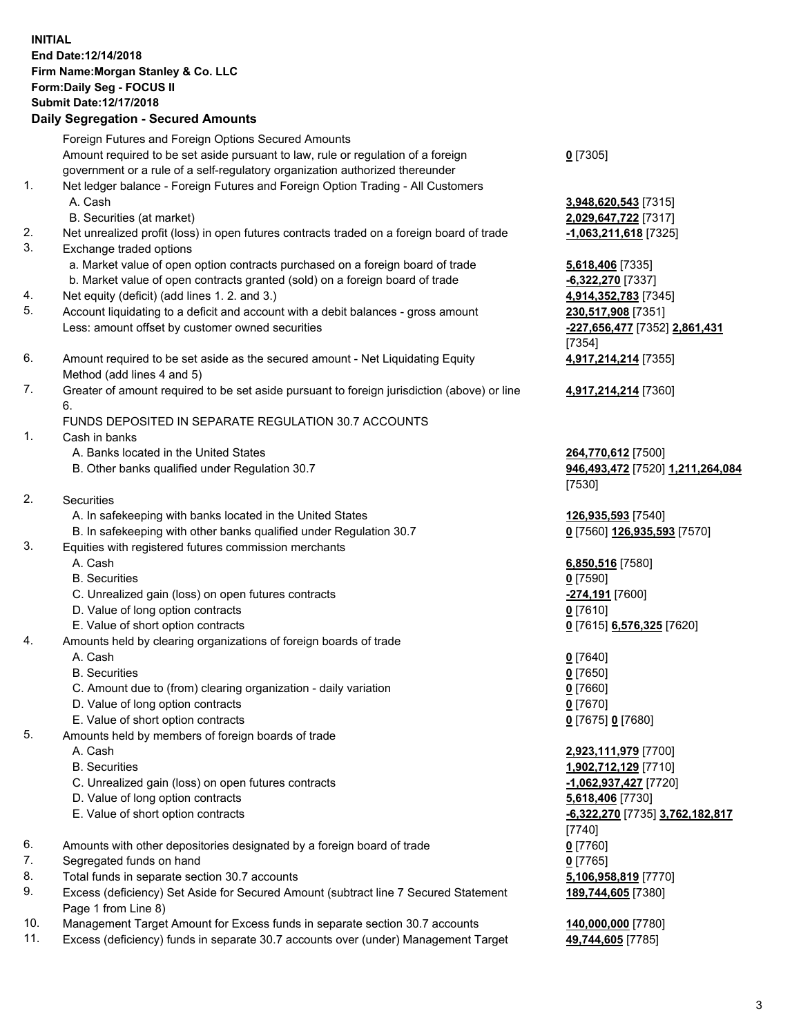## **INITIAL End Date:12/14/2018 Firm Name:Morgan Stanley & Co. LLC Form:Daily Seg - FOCUS II Submit Date:12/17/2018**

## **Daily Segregation - Secured Amounts**

Foreign Futures and Foreign Options Secured Amounts Amount required to be set aside pursuant to law, rule or regulation of a foreign government or a rule of a self-regulatory organization authorized thereunder 1. Net ledger balance - Foreign Futures and Foreign Option Trading - All Customers

- A. Cash **3,948,620,543** [7315] B. Securities (at market) **2,029,647,722** [7317]
	-
- 2. Net unrealized profit (loss) in open futures contracts traded on a foreign board of trade **-1,063,211,618** [7325]
- 3. Exchange traded options
	- a. Market value of open option contracts purchased on a foreign board of trade **5,618,406** [7335]
	- b. Market value of open contracts granted (sold) on a foreign board of trade **-6,322,270** [7337]
- 4. Net equity (deficit) (add lines 1. 2. and 3.) **4,914,352,783** [7345]
- 5. Account liquidating to a deficit and account with a debit balances gross amount **230,517,908** [7351] Less: amount offset by customer owned securities **-227,656,477** [7352] **2,861,431**
- 6. Amount required to be set aside as the secured amount Net Liquidating Equity Method (add lines 4 and 5)
- 7. Greater of amount required to be set aside pursuant to foreign jurisdiction (above) or line 6.

## FUNDS DEPOSITED IN SEPARATE REGULATION 30.7 ACCOUNTS

- 1. Cash in banks
	- A. Banks located in the United States **264,770,612** [7500]
	- B. Other banks qualified under Regulation 30.7 **946,493,472** [7520] **1,211,264,084**
- 2. Securities
	- A. In safekeeping with banks located in the United States **126,935,593** [7540]
	- B. In safekeeping with other banks qualified under Regulation 30.7 **0** [7560] **126,935,593** [7570]
- 3. Equities with registered futures commission merchants
	-
	- B. Securities **0** [7590]
	- C. Unrealized gain (loss) on open futures contracts **-274,191** [7600]
	- D. Value of long option contracts **0** [7610]
- E. Value of short option contracts **0** [7615] **6,576,325** [7620]
- 4. Amounts held by clearing organizations of foreign boards of trade
	- A. Cash **0** [7640]
	- B. Securities **0** [7650]
	- C. Amount due to (from) clearing organization daily variation **0** [7660]
	- D. Value of long option contracts **0** [7670]
	- E. Value of short option contracts **0** [7675] **0** [7680]
- 5. Amounts held by members of foreign boards of trade
	-
	-
	- C. Unrealized gain (loss) on open futures contracts **-1,062,937,427** [7720]
	- D. Value of long option contracts **5,618,406** [7730]
	- E. Value of short option contracts **-6,322,270** [7735] **3,762,182,817**
- 6. Amounts with other depositories designated by a foreign board of trade **0** [7760]
- 7. Segregated funds on hand **0** [7765]
- 8. Total funds in separate section 30.7 accounts **5,106,958,819** [7770]
- 9. Excess (deficiency) Set Aside for Secured Amount (subtract line 7 Secured Statement Page 1 from Line 8)
- 10. Management Target Amount for Excess funds in separate section 30.7 accounts **140,000,000** [7780]
- 11. Excess (deficiency) funds in separate 30.7 accounts over (under) Management Target **49,744,605** [7785]

**0** [7305]

[7354] **4,917,214,214** [7355]

**4,917,214,214** [7360]

[7530]

A. Cash **6,850,516** [7580]

 A. Cash **2,923,111,979** [7700] B. Securities **1,902,712,129** [7710] [7740] **189,744,605** [7380]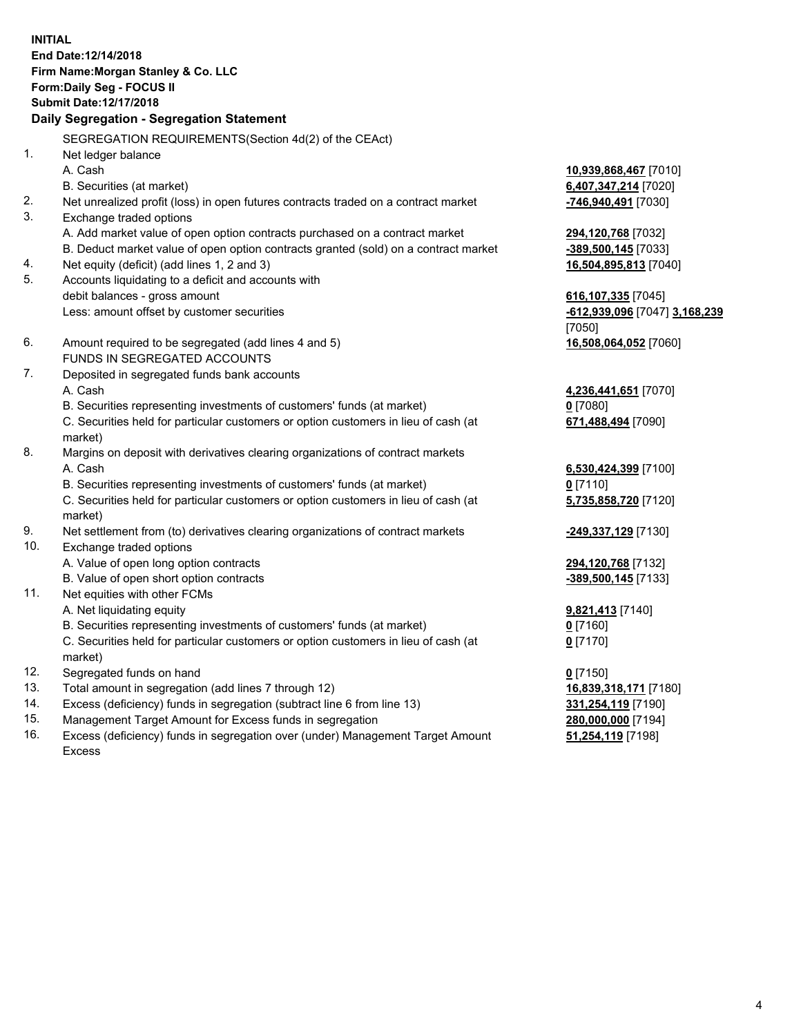**INITIAL End Date:12/14/2018 Firm Name:Morgan Stanley & Co. LLC Form:Daily Seg - FOCUS II Submit Date:12/17/2018 Daily Segregation - Segregation Statement** SEGREGATION REQUIREMENTS(Section 4d(2) of the CEAct) 1. Net ledger balance A. Cash **10,939,868,467** [7010] B. Securities (at market) **6,407,347,214** [7020] 2. Net unrealized profit (loss) in open futures contracts traded on a contract market **-746,940,491** [7030] 3. Exchange traded options A. Add market value of open option contracts purchased on a contract market **294,120,768** [7032] B. Deduct market value of open option contracts granted (sold) on a contract market **-389,500,145** [7033] 4. Net equity (deficit) (add lines 1, 2 and 3) **16,504,895,813** [7040] 5. Accounts liquidating to a deficit and accounts with debit balances - gross amount **616,107,335** [7045] Less: amount offset by customer securities **-612,939,096** [7047] **3,168,239** [7050] 6. Amount required to be segregated (add lines 4 and 5) **16,508,064,052** [7060] FUNDS IN SEGREGATED ACCOUNTS 7. Deposited in segregated funds bank accounts A. Cash **4,236,441,651** [7070] B. Securities representing investments of customers' funds (at market) **0** [7080] C. Securities held for particular customers or option customers in lieu of cash (at market) **671,488,494** [7090] 8. Margins on deposit with derivatives clearing organizations of contract markets A. Cash **6,530,424,399** [7100] B. Securities representing investments of customers' funds (at market) **0** [7110] C. Securities held for particular customers or option customers in lieu of cash (at market) **5,735,858,720** [7120] 9. Net settlement from (to) derivatives clearing organizations of contract markets **-249,337,129** [7130] 10. Exchange traded options A. Value of open long option contracts **294,120,768** [7132] B. Value of open short option contracts **-389,500,145** [7133] 11. Net equities with other FCMs A. Net liquidating equity **9,821,413** [7140] B. Securities representing investments of customers' funds (at market) **0** [7160] C. Securities held for particular customers or option customers in lieu of cash (at market) **0** [7170] 12. Segregated funds on hand **0** [7150] 13. Total amount in segregation (add lines 7 through 12) **16,839,318,171** [7180] 14. Excess (deficiency) funds in segregation (subtract line 6 from line 13) **331,254,119** [7190]

- 15. Management Target Amount for Excess funds in segregation **280,000,000** [7194]
- 16. Excess (deficiency) funds in segregation over (under) Management Target Amount Excess

**51,254,119** [7198]